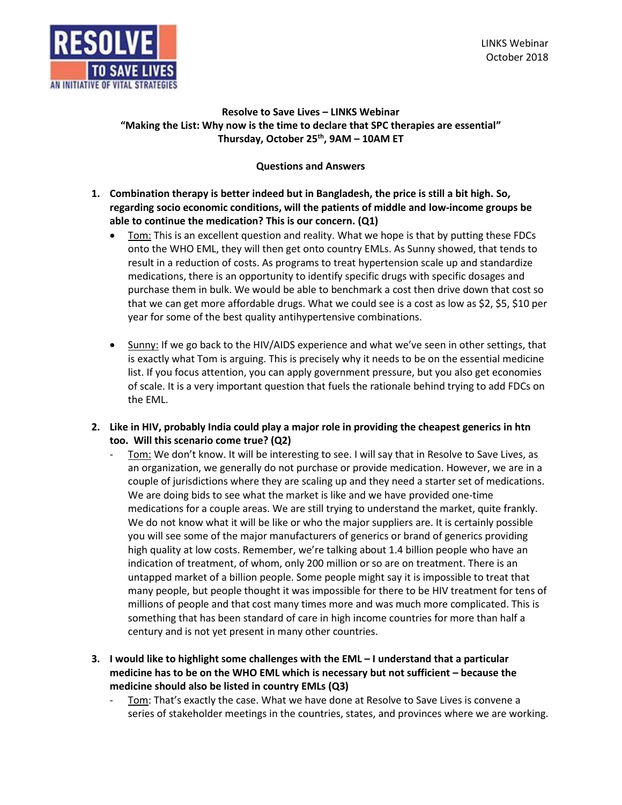

# **Resolve to Save Lives – LINKS Webinar "Making the List: Why now is the time to declare that SPC therapies are essential" Thursday, October 25th, 9AM – 10AM ET**

# **Questions and Answers**

- **1. Combination therapy is better indeed but in Bangladesh, the price is still a bit high. So, regarding socio economic conditions, will the patients of middle and low-income groups be able to continue the medication? This is our concern. (Q1)** 
	- Tom: This is an excellent question and reality. What we hope is that by putting these FDCs onto the WHO EML, they will then get onto country EMLs. As Sunny showed, that tends to result in a reduction of costs. As programs to treat hypertension scale up and standardize medications, there is an opportunity to identify specific drugs with specific dosages and purchase them in bulk. We would be able to benchmark a cost then drive down that cost so that we can get more affordable drugs. What we could see is a cost as low as \$2, \$5, \$10 per year for some of the best quality antihypertensive combinations.
	- Sunny: If we go back to the HIV/AIDS experience and what we've seen in other settings, that is exactly what Tom is arguing. This is precisely why it needs to be on the essential medicine list. If you focus attention, you can apply government pressure, but you also get economies of scale. It is a very important question that fuels the rationale behind trying to add FDCs on the EML.
- **2. Like in HIV, probably India could play a major role in providing the cheapest generics in htn too. Will this scenario come true? (Q2)** 
	- Tom: We don't know. It will be interesting to see. I will say that in Resolve to Save Lives, as an organization, we generally do not purchase or provide medication. However, we are in a couple of jurisdictions where they are scaling up and they need a starter set of medications. We are doing bids to see what the market is like and we have provided one-time medications for a couple areas. We are still trying to understand the market, quite frankly. We do not know what it will be like or who the major suppliers are. It is certainly possible you will see some of the major manufacturers of generics or brand of generics providing high quality at low costs. Remember, we're talking about 1.4 billion people who have an indication of treatment, of whom, only 200 million or so are on treatment. There is an untapped market of a billion people. Some people might say it is impossible to treat that many people, but people thought it was impossible for there to be HIV treatment for tens of millions of people and that cost many times more and was much more complicated. This is something that has been standard of care in high income countries for more than half a century and is not yet present in many other countries.
- **3. I would like to highlight some challenges with the EML – I understand that a particular medicine has to be on the WHO EML which is necessary but not sufficient – because the medicine should also be listed in country EMLs (Q3)** 
	- Tom: That's exactly the case. What we have done at Resolve to Save Lives is convene a series of stakeholder meetings in the countries, states, and provinces where we are working.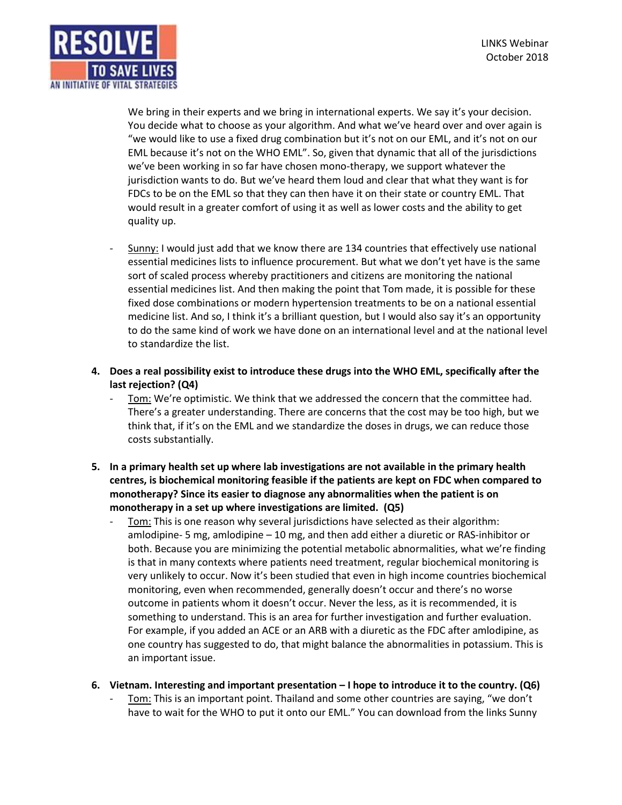

We bring in their experts and we bring in international experts. We say it's your decision. You decide what to choose as your algorithm. And what we've heard over and over again is "we would like to use a fixed drug combination but it's not on our EML, and it's not on our EML because it's not on the WHO EML". So, given that dynamic that all of the jurisdictions we've been working in so far have chosen mono-therapy, we support whatever the jurisdiction wants to do. But we've heard them loud and clear that what they want is for FDCs to be on the EML so that they can then have it on their state or country EML. That would result in a greater comfort of using it as well as lower costs and the ability to get quality up.

- Sunny: I would just add that we know there are 134 countries that effectively use national essential medicines lists to influence procurement. But what we don't yet have is the same sort of scaled process whereby practitioners and citizens are monitoring the national essential medicines list. And then making the point that Tom made, it is possible for these fixed dose combinations or modern hypertension treatments to be on a national essential medicine list. And so, I think it's a brilliant question, but I would also say it's an opportunity to do the same kind of work we have done on an international level and at the national level to standardize the list.
- **4. Does a real possibility exist to introduce these drugs into the WHO EML, specifically after the last rejection? (Q4)** 
	- Tom: We're optimistic. We think that we addressed the concern that the committee had. There's a greater understanding. There are concerns that the cost may be too high, but we think that, if it's on the EML and we standardize the doses in drugs, we can reduce those costs substantially.
- **5. In a primary health set up where lab investigations are not available in the primary health centres, is biochemical monitoring feasible if the patients are kept on FDC when compared to monotherapy? Since its easier to diagnose any abnormalities when the patient is on monotherapy in a set up where investigations are limited. (Q5)** 
	- Tom: This is one reason why several jurisdictions have selected as their algorithm: amlodipine- 5 mg, amlodipine – 10 mg, and then add either a diuretic or RAS-inhibitor or both. Because you are minimizing the potential metabolic abnormalities, what we're finding is that in many contexts where patients need treatment, regular biochemical monitoring is very unlikely to occur. Now it's been studied that even in high income countries biochemical monitoring, even when recommended, generally doesn't occur and there's no worse outcome in patients whom it doesn't occur. Never the less, as it is recommended, it is something to understand. This is an area for further investigation and further evaluation. For example, if you added an ACE or an ARB with a diuretic as the FDC after amlodipine, as one country has suggested to do, that might balance the abnormalities in potassium. This is an important issue.

### **6. Vietnam. Interesting and important presentation – I hope to introduce it to the country. (Q6)**

Tom: This is an important point. Thailand and some other countries are saying, "we don't have to wait for the WHO to put it onto our EML." You can download from the links Sunny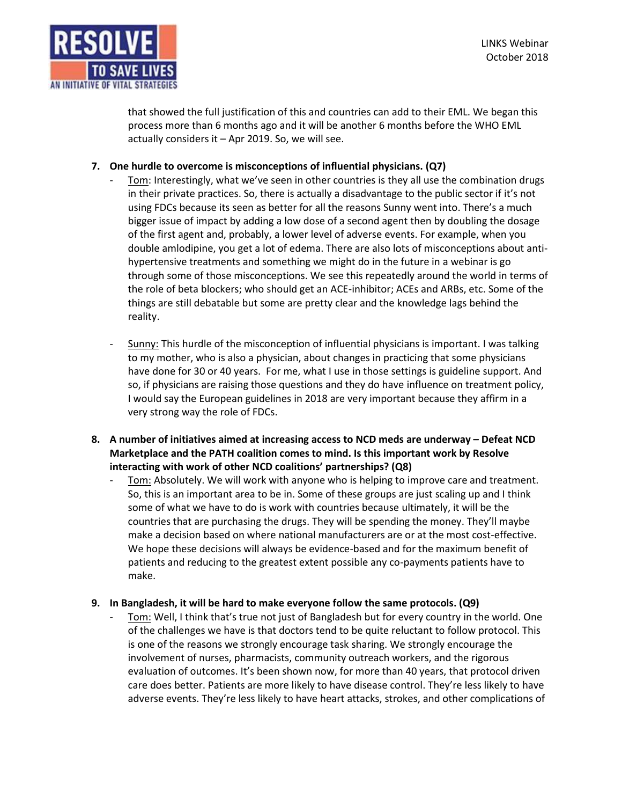

that showed the full justification of this and countries can add to their EML. We began this process more than 6 months ago and it will be another 6 months before the WHO EML actually considers it – Apr 2019. So, we will see.

## **7. One hurdle to overcome is misconceptions of influential physicians. (Q7)**

- Tom: Interestingly, what we've seen in other countries is they all use the combination drugs in their private practices. So, there is actually a disadvantage to the public sector if it's not using FDCs because its seen as better for all the reasons Sunny went into. There's a much bigger issue of impact by adding a low dose of a second agent then by doubling the dosage of the first agent and, probably, a lower level of adverse events. For example, when you double amlodipine, you get a lot of edema. There are also lots of misconceptions about antihypertensive treatments and something we might do in the future in a webinar is go through some of those misconceptions. We see this repeatedly around the world in terms of the role of beta blockers; who should get an ACE-inhibitor; ACEs and ARBs, etc. Some of the things are still debatable but some are pretty clear and the knowledge lags behind the reality.
- Sunny: This hurdle of the misconception of influential physicians is important. I was talking to my mother, who is also a physician, about changes in practicing that some physicians have done for 30 or 40 years. For me, what I use in those settings is guideline support. And so, if physicians are raising those questions and they do have influence on treatment policy, I would say the European guidelines in 2018 are very important because they affirm in a very strong way the role of FDCs.
- **8. A number of initiatives aimed at increasing access to NCD meds are underway – Defeat NCD Marketplace and the PATH coalition comes to mind. Is this important work by Resolve interacting with work of other NCD coalitions' partnerships? (Q8)** 
	- Tom: Absolutely. We will work with anyone who is helping to improve care and treatment. So, this is an important area to be in. Some of these groups are just scaling up and I think some of what we have to do is work with countries because ultimately, it will be the countries that are purchasing the drugs. They will be spending the money. They'll maybe make a decision based on where national manufacturers are or at the most cost-effective. We hope these decisions will always be evidence-based and for the maximum benefit of patients and reducing to the greatest extent possible any co-payments patients have to make.

### **9. In Bangladesh, it will be hard to make everyone follow the same protocols. (Q9)**

Tom: Well, I think that's true not just of Bangladesh but for every country in the world. One of the challenges we have is that doctors tend to be quite reluctant to follow protocol. This is one of the reasons we strongly encourage task sharing. We strongly encourage the involvement of nurses, pharmacists, community outreach workers, and the rigorous evaluation of outcomes. It's been shown now, for more than 40 years, that protocol driven care does better. Patients are more likely to have disease control. They're less likely to have adverse events. They're less likely to have heart attacks, strokes, and other complications of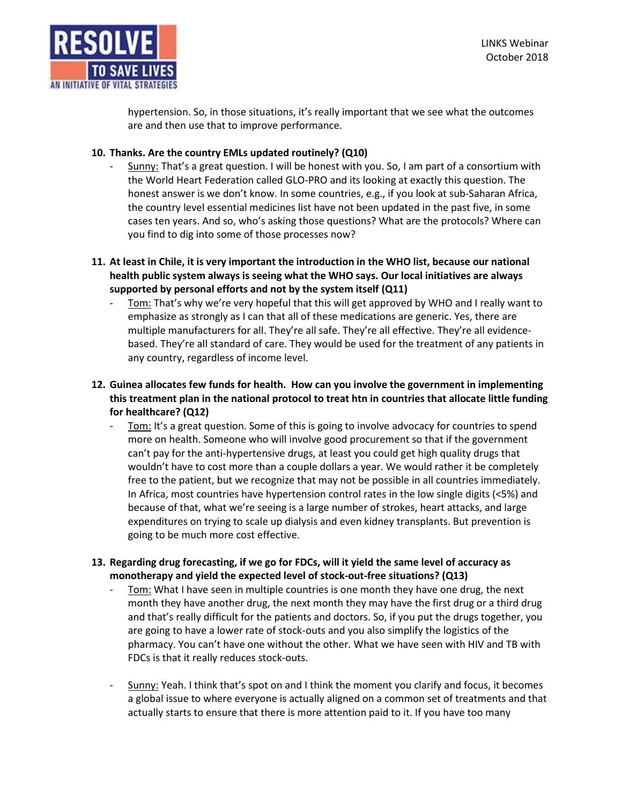hypertension. So, in those situations, it's really important that we see what the outcomes are and then use that to improve performance.

# **10. Thanks. Are the country EMLs updated routinely? (Q10)**

- Sunny: That's a great question. I will be honest with you. So, I am part of a consortium with the World Heart Federation called GLO-PRO and its looking at exactly this question. The honest answer is we don't know. In some countries, e.g., if you look at sub-Saharan Africa, the country level essential medicines list have not been updated in the past five, in some cases ten years. And so, who's asking those questions? What are the protocols? Where can you find to dig into some of those processes now?
- **11. At least in Chile, it is very important the introduction in the WHO list, because our national health public system always is seeing what the WHO says. Our local initiatives are always supported by personal efforts and not by the system itself (Q11)** 
	- Tom: That's why we're very hopeful that this will get approved by WHO and I really want to emphasize as strongly as I can that all of these medications are generic. Yes, there are multiple manufacturers for all. They're all safe. They're all effective. They're all evidencebased. They're all standard of care. They would be used for the treatment of any patients in any country, regardless of income level.
- **12. Guinea allocates few funds for health. How can you involve the government in implementing this treatment plan in the national protocol to treat htn in countries that allocate little funding for healthcare? (Q12)** 
	- Tom: It's a great question. Some of this is going to involve advocacy for countries to spend more on health. Someone who will involve good procurement so that if the government can't pay for the anti-hypertensive drugs, at least you could get high quality drugs that wouldn't have to cost more than a couple dollars a year. We would rather it be completely free to the patient, but we recognize that may not be possible in all countries immediately. In Africa, most countries have hypertension control rates in the low single digits (<5%) and because of that, what we're seeing is a large number of strokes, heart attacks, and large expenditures on trying to scale up dialysis and even kidney transplants. But prevention is going to be much more cost effective.
- **13. Regarding drug forecasting, if we go for FDCs, will it yield the same level of accuracy as monotherapy and yield the expected level of stock-out-free situations? (Q13)**
	- Tom: What I have seen in multiple countries is one month they have one drug, the next month they have another drug, the next month they may have the first drug or a third drug and that's really difficult for the patients and doctors. So, if you put the drugs together, you are going to have a lower rate of stock-outs and you also simplify the logistics of the pharmacy. You can't have one without the other. What we have seen with HIV and TB with FDCs is that it really reduces stock-outs.
	- Sunny: Yeah. I think that's spot on and I think the moment you clarify and focus, it becomes a global issue to where everyone is actually aligned on a common set of treatments and that actually starts to ensure that there is more attention paid to it. If you have too many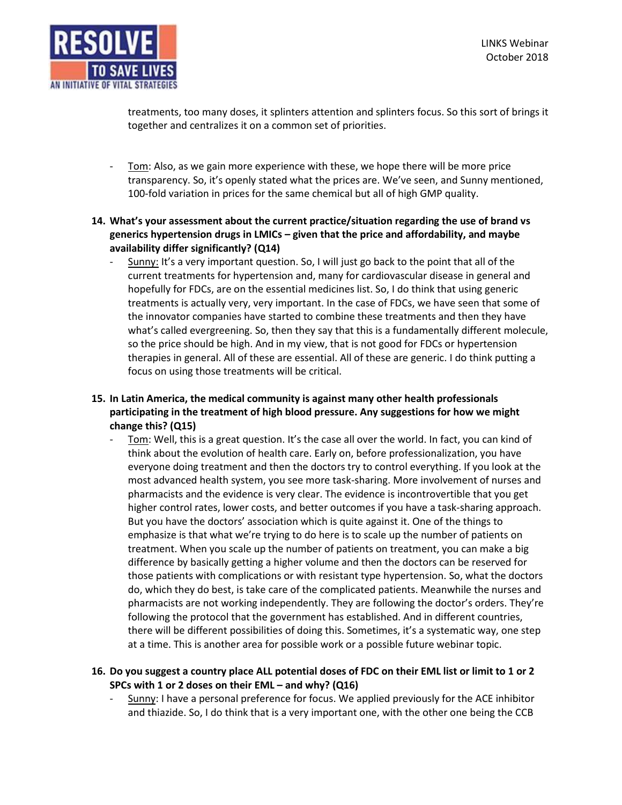

treatments, too many doses, it splinters attention and splinters focus. So this sort of brings it together and centralizes it on a common set of priorities.

- Tom: Also, as we gain more experience with these, we hope there will be more price transparency. So, it's openly stated what the prices are. We've seen, and Sunny mentioned, 100-fold variation in prices for the same chemical but all of high GMP quality.
- **14. What's your assessment about the current practice/situation regarding the use of brand vs generics hypertension drugs in LMICs – given that the price and affordability, and maybe availability differ significantly? (Q14)** 
	- Sunny: It's a very important question. So, I will just go back to the point that all of the current treatments for hypertension and, many for cardiovascular disease in general and hopefully for FDCs, are on the essential medicines list. So, I do think that using generic treatments is actually very, very important. In the case of FDCs, we have seen that some of the innovator companies have started to combine these treatments and then they have what's called evergreening. So, then they say that this is a fundamentally different molecule, so the price should be high. And in my view, that is not good for FDCs or hypertension therapies in general. All of these are essential. All of these are generic. I do think putting a focus on using those treatments will be critical.
- **15. In Latin America, the medical community is against many other health professionals participating in the treatment of high blood pressure. Any suggestions for how we might change this? (Q15)**
	- Tom: Well, this is a great question. It's the case all over the world. In fact, you can kind of think about the evolution of health care. Early on, before professionalization, you have everyone doing treatment and then the doctors try to control everything. If you look at the most advanced health system, you see more task-sharing. More involvement of nurses and pharmacists and the evidence is very clear. The evidence is incontrovertible that you get higher control rates, lower costs, and better outcomes if you have a task-sharing approach. But you have the doctors' association which is quite against it. One of the things to emphasize is that what we're trying to do here is to scale up the number of patients on treatment. When you scale up the number of patients on treatment, you can make a big difference by basically getting a higher volume and then the doctors can be reserved for those patients with complications or with resistant type hypertension. So, what the doctors do, which they do best, is take care of the complicated patients. Meanwhile the nurses and pharmacists are not working independently. They are following the doctor's orders. They're following the protocol that the government has established. And in different countries, there will be different possibilities of doing this. Sometimes, it's a systematic way, one step at a time. This is another area for possible work or a possible future webinar topic.

# **16. Do you suggest a country place ALL potential doses of FDC on their EML list or limit to 1 or 2 SPCs with 1 or 2 doses on their EML – and why? (Q16)**

- Sunny: I have a personal preference for focus. We applied previously for the ACE inhibitor and thiazide. So, I do think that is a very important one, with the other one being the CCB